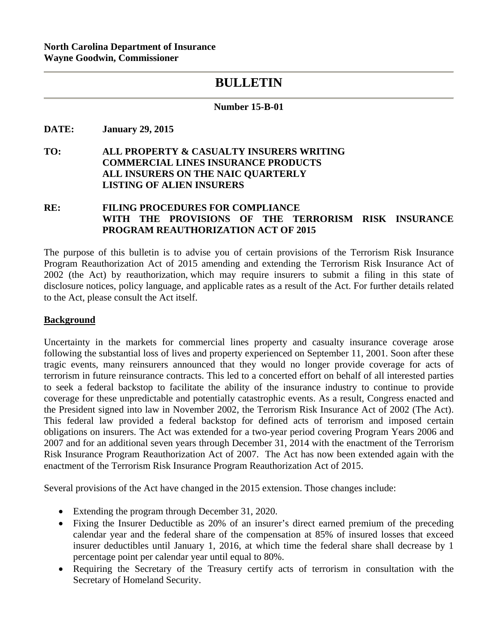# **BULLETIN**

### **Number 15-B-01**

**DATE: January 29, 2015** 

**TO: ALL PROPERTY & CASUALTY INSURERS WRITING COMMERCIAL LINES INSURANCE PRODUCTS ALL INSURERS ON THE NAIC QUARTERLY LISTING OF ALIEN INSURERS** 

# **RE: FILING PROCEDURES FOR COMPLIANCE WITH THE PROVISIONS OF THE TERRORISM RISK INSURANCE PROGRAM REAUTHORIZATION ACT OF 2015**

The purpose of this bulletin is to advise you of certain provisions of the Terrorism Risk Insurance Program Reauthorization Act of 2015 amending and extending the Terrorism Risk Insurance Act of 2002 (the Act) by reauthorization, which may require insurers to submit a filing in this state of disclosure notices, policy language, and applicable rates as a result of the Act. For further details related to the Act, please consult the Act itself.

### **Background**

Uncertainty in the markets for commercial lines property and casualty insurance coverage arose following the substantial loss of lives and property experienced on September 11, 2001. Soon after these tragic events, many reinsurers announced that they would no longer provide coverage for acts of terrorism in future reinsurance contracts. This led to a concerted effort on behalf of all interested parties to seek a federal backstop to facilitate the ability of the insurance industry to continue to provide coverage for these unpredictable and potentially catastrophic events. As a result, Congress enacted and the President signed into law in November 2002, the Terrorism Risk Insurance Act of 2002 (The Act). This federal law provided a federal backstop for defined acts of terrorism and imposed certain obligations on insurers. The Act was extended for a two-year period covering Program Years 2006 and 2007 and for an additional seven years through December 31, 2014 with the enactment of the Terrorism Risk Insurance Program Reauthorization Act of 2007. The Act has now been extended again with the enactment of the Terrorism Risk Insurance Program Reauthorization Act of 2015.

Several provisions of the Act have changed in the 2015 extension. Those changes include:

- Extending the program through December 31, 2020.
- Fixing the Insurer Deductible as 20% of an insurer's direct earned premium of the preceding calendar year and the federal share of the compensation at 85% of insured losses that exceed insurer deductibles until January 1, 2016, at which time the federal share shall decrease by 1 percentage point per calendar year until equal to 80%.
- Requiring the Secretary of the Treasury certify acts of terrorism in consultation with the Secretary of Homeland Security.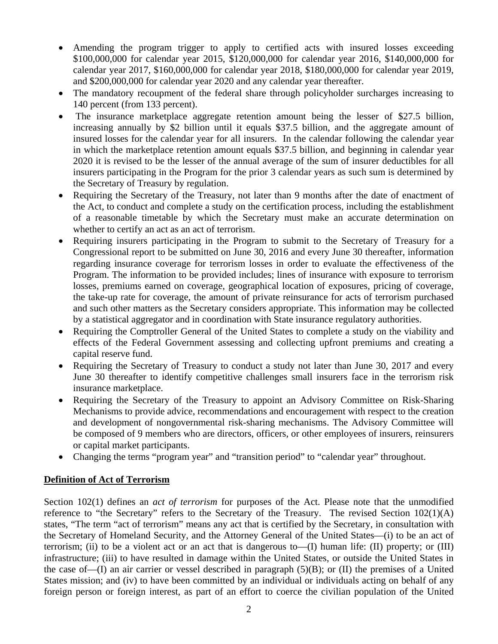- Amending the program trigger to apply to certified acts with insured losses exceeding \$100,000,000 for calendar year 2015, \$120,000,000 for calendar year 2016, \$140,000,000 for calendar year 2017, \$160,000,000 for calendar year 2018, \$180,000,000 for calendar year 2019, and \$200,000,000 for calendar year 2020 and any calendar year thereafter.
- The mandatory recoupment of the federal share through policyholder surcharges increasing to 140 percent (from 133 percent).
- The insurance marketplace aggregate retention amount being the lesser of \$27.5 billion, increasing annually by \$2 billion until it equals \$37.5 billion, and the aggregate amount of insured losses for the calendar year for all insurers. In the calendar following the calendar year in which the marketplace retention amount equals \$37.5 billion, and beginning in calendar year 2020 it is revised to be the lesser of the annual average of the sum of insurer deductibles for all insurers participating in the Program for the prior 3 calendar years as such sum is determined by the Secretary of Treasury by regulation.
- Requiring the Secretary of the Treasury, not later than 9 months after the date of enactment of the Act, to conduct and complete a study on the certification process, including the establishment of a reasonable timetable by which the Secretary must make an accurate determination on whether to certify an act as an act of terrorism.
- Requiring insurers participating in the Program to submit to the Secretary of Treasury for a Congressional report to be submitted on June 30, 2016 and every June 30 thereafter, information regarding insurance coverage for terrorism losses in order to evaluate the effectiveness of the Program. The information to be provided includes; lines of insurance with exposure to terrorism losses, premiums earned on coverage, geographical location of exposures, pricing of coverage, the take-up rate for coverage, the amount of private reinsurance for acts of terrorism purchased and such other matters as the Secretary considers appropriate. This information may be collected by a statistical aggregator and in coordination with State insurance regulatory authorities.
- Requiring the Comptroller General of the United States to complete a study on the viability and effects of the Federal Government assessing and collecting upfront premiums and creating a capital reserve fund.
- Requiring the Secretary of Treasury to conduct a study not later than June 30, 2017 and every June 30 thereafter to identify competitive challenges small insurers face in the terrorism risk insurance marketplace.
- Requiring the Secretary of the Treasury to appoint an Advisory Committee on Risk-Sharing Mechanisms to provide advice, recommendations and encouragement with respect to the creation and development of nongovernmental risk-sharing mechanisms. The Advisory Committee will be composed of 9 members who are directors, officers, or other employees of insurers, reinsurers or capital market participants.
- Changing the terms "program year" and "transition period" to "calendar year" throughout.

# **Definition of Act of Terrorism**

Section 102(1) defines an *act of terrorism* for purposes of the Act. Please note that the unmodified reference to "the Secretary" refers to the Secretary of the Treasury. The revised Section  $102(1)(A)$ states, "The term "act of terrorism" means any act that is certified by the Secretary, in consultation with the Secretary of Homeland Security, and the Attorney General of the United States—(i) to be an act of terrorism; (ii) to be a violent act or an act that is dangerous to— $(I)$  human life:  $(I)$  property; or  $(III)$ infrastructure; (iii) to have resulted in damage within the United States, or outside the United States in the case of—(I) an air carrier or vessel described in paragraph (5)(B); or (II) the premises of a United States mission; and (iv) to have been committed by an individual or individuals acting on behalf of any foreign person or foreign interest, as part of an effort to coerce the civilian population of the United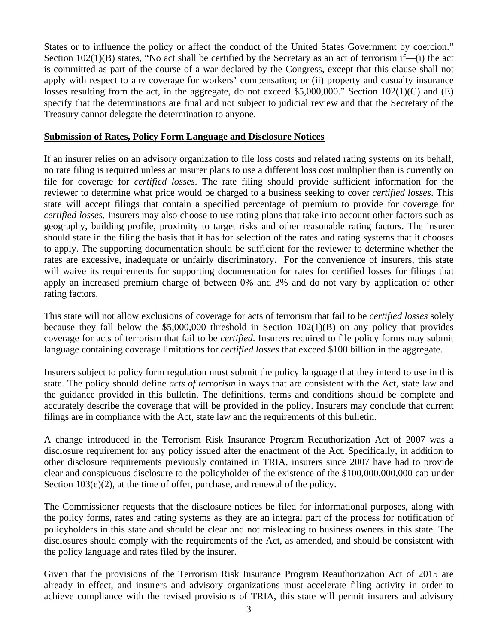States or to influence the policy or affect the conduct of the United States Government by coercion." Section 102(1)(B) states, "No act shall be certified by the Secretary as an act of terrorism if—(i) the act is committed as part of the course of a war declared by the Congress, except that this clause shall not apply with respect to any coverage for workers' compensation; or (ii) property and casualty insurance losses resulting from the act, in the aggregate, do not exceed \$5,000,000." Section 102(1)(C) and (E) specify that the determinations are final and not subject to judicial review and that the Secretary of the Treasury cannot delegate the determination to anyone.

# **Submission of Rates, Policy Form Language and Disclosure Notices**

If an insurer relies on an advisory organization to file loss costs and related rating systems on its behalf, no rate filing is required unless an insurer plans to use a different loss cost multiplier than is currently on file for coverage for *certified losses*. The rate filing should provide sufficient information for the reviewer to determine what price would be charged to a business seeking to cover *certified losses*. This state will accept filings that contain a specified percentage of premium to provide for coverage for *certified losses*. Insurers may also choose to use rating plans that take into account other factors such as geography, building profile, proximity to target risks and other reasonable rating factors. The insurer should state in the filing the basis that it has for selection of the rates and rating systems that it chooses to apply. The supporting documentation should be sufficient for the reviewer to determine whether the rates are excessive, inadequate or unfairly discriminatory. For the convenience of insurers, this state will waive its requirements for supporting documentation for rates for certified losses for filings that apply an increased premium charge of between 0% and 3% and do not vary by application of other rating factors.

This state will not allow exclusions of coverage for acts of terrorism that fail to be *certified losses* solely because they fall below the \$5,000,000 threshold in Section 102(1)(B) on any policy that provides coverage for acts of terrorism that fail to be *certified*. Insurers required to file policy forms may submit language containing coverage limitations for *certified losses* that exceed \$100 billion in the aggregate.

Insurers subject to policy form regulation must submit the policy language that they intend to use in this state. The policy should define *acts of terrorism* in ways that are consistent with the Act, state law and the guidance provided in this bulletin. The definitions, terms and conditions should be complete and accurately describe the coverage that will be provided in the policy. Insurers may conclude that current filings are in compliance with the Act, state law and the requirements of this bulletin.

A change introduced in the Terrorism Risk Insurance Program Reauthorization Act of 2007 was a disclosure requirement for any policy issued after the enactment of the Act. Specifically, in addition to other disclosure requirements previously contained in TRIA, insurers since 2007 have had to provide clear and conspicuous disclosure to the policyholder of the existence of the \$100,000,000,000 cap under Section  $103(e)(2)$ , at the time of offer, purchase, and renewal of the policy.

The Commissioner requests that the disclosure notices be filed for informational purposes, along with the policy forms, rates and rating systems as they are an integral part of the process for notification of policyholders in this state and should be clear and not misleading to business owners in this state. The disclosures should comply with the requirements of the Act, as amended, and should be consistent with the policy language and rates filed by the insurer.

Given that the provisions of the Terrorism Risk Insurance Program Reauthorization Act of 2015 are already in effect, and insurers and advisory organizations must accelerate filing activity in order to achieve compliance with the revised provisions of TRIA, this state will permit insurers and advisory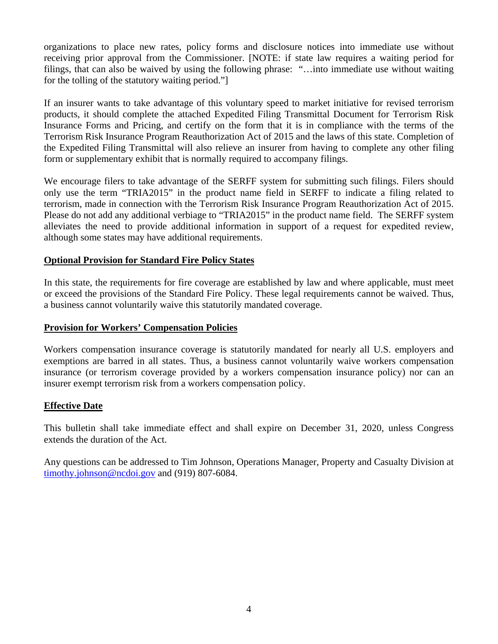organizations to place new rates, policy forms and disclosure notices into immediate use without receiving prior approval from the Commissioner. [NOTE: if state law requires a waiting period for filings, that can also be waived by using the following phrase: "…into immediate use without waiting for the tolling of the statutory waiting period."]

If an insurer wants to take advantage of this voluntary speed to market initiative for revised terrorism products, it should complete the attached Expedited Filing Transmittal Document for Terrorism Risk Insurance Forms and Pricing, and certify on the form that it is in compliance with the terms of the Terrorism Risk Insurance Program Reauthorization Act of 2015 and the laws of this state. Completion of the Expedited Filing Transmittal will also relieve an insurer from having to complete any other filing form or supplementary exhibit that is normally required to accompany filings.

We encourage filers to take advantage of the SERFF system for submitting such filings. Filers should only use the term "TRIA2015" in the product name field in SERFF to indicate a filing related to terrorism, made in connection with the Terrorism Risk Insurance Program Reauthorization Act of 2015. Please do not add any additional verbiage to "TRIA2015" in the product name field. The SERFF system alleviates the need to provide additional information in support of a request for expedited review, although some states may have additional requirements.

# **Optional Provision for Standard Fire Policy States**

In this state, the requirements for fire coverage are established by law and where applicable, must meet or exceed the provisions of the Standard Fire Policy. These legal requirements cannot be waived. Thus, a business cannot voluntarily waive this statutorily mandated coverage.

### **Provision for Workers' Compensation Policies**

Workers compensation insurance coverage is statutorily mandated for nearly all U.S. employers and exemptions are barred in all states. Thus, a business cannot voluntarily waive workers compensation insurance (or terrorism coverage provided by a workers compensation insurance policy) nor can an insurer exempt terrorism risk from a workers compensation policy.

### **Effective Date**

This bulletin shall take immediate effect and shall expire on December 31, 2020, unless Congress extends the duration of the Act.

Any questions can be addressed to Tim Johnson, Operations Manager, Property and Casualty Division at timothy.johnson@ncdoi.gov and (919) 807-6084.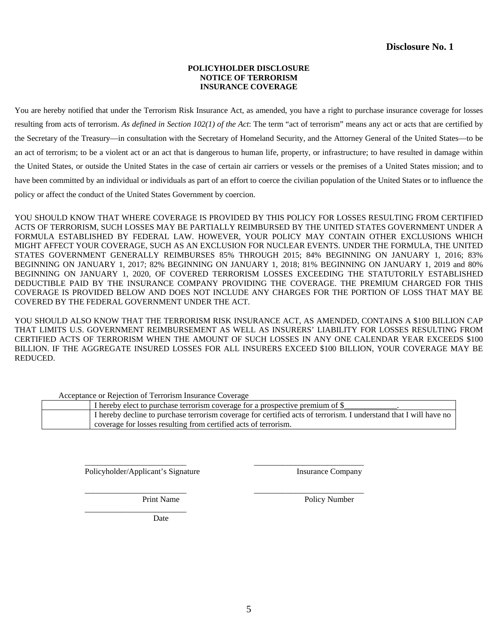#### **POLICYHOLDER DISCLOSURE NOTICE OF TERRORISM INSURANCE COVERAGE**

You are hereby notified that under the Terrorism Risk Insurance Act, as amended, you have a right to purchase insurance coverage for losses resulting from acts of terrorism. *As defined in Section 102(1) of the Act*: The term "act of terrorism" means any act or acts that are certified by the Secretary of the Treasury—in consultation with the Secretary of Homeland Security, and the Attorney General of the United States—to be an act of terrorism; to be a violent act or an act that is dangerous to human life, property, or infrastructure; to have resulted in damage within the United States, or outside the United States in the case of certain air carriers or vessels or the premises of a United States mission; and to have been committed by an individual or individuals as part of an effort to coerce the civilian population of the United States or to influence the policy or affect the conduct of the United States Government by coercion.

YOU SHOULD KNOW THAT WHERE COVERAGE IS PROVIDED BY THIS POLICY FOR LOSSES RESULTING FROM CERTIFIED ACTS OF TERRORISM, SUCH LOSSES MAY BE PARTIALLY REIMBURSED BY THE UNITED STATES GOVERNMENT UNDER A FORMULA ESTABLISHED BY FEDERAL LAW. HOWEVER, YOUR POLICY MAY CONTAIN OTHER EXCLUSIONS WHICH MIGHT AFFECT YOUR COVERAGE, SUCH AS AN EXCLUSION FOR NUCLEAR EVENTS. UNDER THE FORMULA, THE UNITED STATES GOVERNMENT GENERALLY REIMBURSES 85% THROUGH 2015; 84% BEGINNING ON JANUARY 1, 2016; 83% BEGINNING ON JANUARY 1, 2017; 82% BEGINNING ON JANUARY 1, 2018; 81% BEGINNING ON JANUARY 1, 2019 and 80% BEGINNING ON JANUARY 1, 2020, OF COVERED TERRORISM LOSSES EXCEEDING THE STATUTORILY ESTABLISHED DEDUCTIBLE PAID BY THE INSURANCE COMPANY PROVIDING THE COVERAGE. THE PREMIUM CHARGED FOR THIS COVERAGE IS PROVIDED BELOW AND DOES NOT INCLUDE ANY CHARGES FOR THE PORTION OF LOSS THAT MAY BE COVERED BY THE FEDERAL GOVERNMENT UNDER THE ACT.

YOU SHOULD ALSO KNOW THAT THE TERRORISM RISK INSURANCE ACT, AS AMENDED, CONTAINS A \$100 BILLION CAP THAT LIMITS U.S. GOVERNMENT REIMBURSEMENT AS WELL AS INSURERS' LIABILITY FOR LOSSES RESULTING FROM CERTIFIED ACTS OF TERRORISM WHEN THE AMOUNT OF SUCH LOSSES IN ANY ONE CALENDAR YEAR EXCEEDS \$100 BILLION. IF THE AGGREGATE INSURED LOSSES FOR ALL INSURERS EXCEED \$100 BILLION, YOUR COVERAGE MAY BE REDUCED.

| Acceptance of Rejection of Terrorism misulance Coverage |                                                                                                                   |
|---------------------------------------------------------|-------------------------------------------------------------------------------------------------------------------|
|                                                         | I hereby elect to purchase terrorism coverage for a prospective premium of \$                                     |
|                                                         | I hereby decline to purchase terrorism coverage for certified acts of terrorism. I understand that I will have no |
|                                                         | coverage for losses resulting from certified acts of terrorism.                                                   |

\_\_\_\_\_\_\_\_\_\_\_\_\_\_\_\_\_\_\_\_\_\_\_\_\_ Policyholder/Applicant's Signature Insurance Company

\_\_\_\_\_\_\_\_\_\_\_\_\_\_\_\_\_\_\_\_\_\_\_\_\_

Acceptance or Rejection of Terrorism Insurance Coverage

 $\frac{1}{\sqrt{2\pi}}\left[\frac{1}{\sqrt{2\pi}}\frac{1}{\sqrt{2\pi}}\frac{1}{\sqrt{2\pi}}\frac{1}{\sqrt{2\pi}}\frac{1}{\sqrt{2\pi}}\frac{1}{\sqrt{2\pi}}\frac{1}{\sqrt{2\pi}}\frac{1}{\sqrt{2\pi}}\frac{1}{\sqrt{2\pi}}\frac{1}{\sqrt{2\pi}}\frac{1}{\sqrt{2\pi}}\frac{1}{\sqrt{2\pi}}\frac{1}{\sqrt{2\pi}}\frac{1}{\sqrt{2\pi}}\frac{1}{\sqrt{2\pi}}\frac{1}{\sqrt{2\pi}}\frac{1}{\sqrt{2\pi}}\frac$ 

\_\_\_\_\_\_\_\_\_\_\_\_\_\_\_\_\_\_\_\_\_\_\_\_\_ \_\_\_\_\_\_\_\_\_\_\_\_\_\_\_\_\_\_\_\_\_\_\_\_\_\_\_

Print Name Policy Number

Date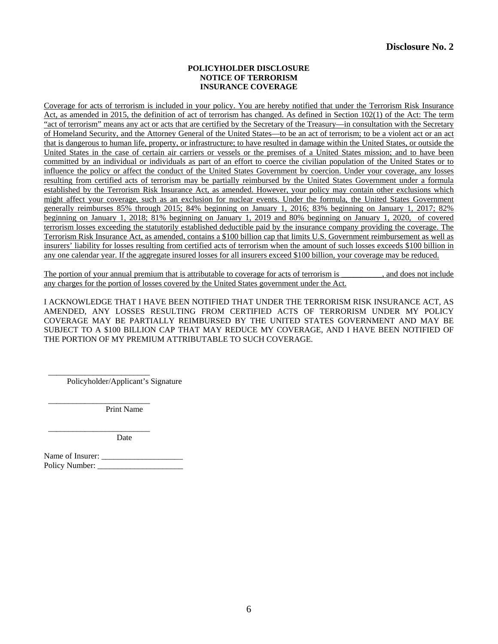#### **POLICYHOLDER DISCLOSURE NOTICE OF TERRORISM INSURANCE COVERAGE**

Coverage for acts of terrorism is included in your policy. You are hereby notified that under the Terrorism Risk Insurance Act, as amended in 2015, the definition of act of terrorism has changed. As defined in Section 102(1) of the Act: The term "act of terrorism" means any act or acts that are certified by the Secretary of the Treasury—in consultation with the Secretary of Homeland Security, and the Attorney General of the United States—to be an act of terrorism; to be a violent act or an act that is dangerous to human life, property, or infrastructure; to have resulted in damage within the United States, or outside the United States in the case of certain air carriers or vessels or the premises of a United States mission; and to have been committed by an individual or individuals as part of an effort to coerce the civilian population of the United States or to influence the policy or affect the conduct of the United States Government by coercion. Under your coverage, any losses resulting from certified acts of terrorism may be partially reimbursed by the United States Government under a formula established by the Terrorism Risk Insurance Act, as amended. However, your policy may contain other exclusions which might affect your coverage, such as an exclusion for nuclear events. Under the formula, the United States Government generally reimburses 85% through 2015; 84% beginning on January 1, 2016; 83% beginning on January 1, 2017; 82% beginning on January 1, 2018; 81% beginning on January 1, 2019 and 80% beginning on January 1, 2020, of covered terrorism losses exceeding the statutorily established deductible paid by the insurance company providing the coverage. The Terrorism Risk Insurance Act, as amended, contains a \$100 billion cap that limits U.S. Government reimbursement as well as insurers' liability for losses resulting from certified acts of terrorism when the amount of such losses exceeds \$100 billion in any one calendar year. If the aggregate insured losses for all insurers exceed \$100 billion, your coverage may be reduced.

The portion of your annual premium that is attributable to coverage for acts of terrorism is \_\_\_\_\_\_\_\_, and does not include any charges for the portion of losses covered by the United States government under the Act.

I ACKNOWLEDGE THAT I HAVE BEEN NOTIFIED THAT UNDER THE TERRORISM RISK INSURANCE ACT, AS AMENDED, ANY LOSSES RESULTING FROM CERTIFIED ACTS OF TERRORISM UNDER MY POLICY COVERAGE MAY BE PARTIALLY REIMBURSED BY THE UNITED STATES GOVERNMENT AND MAY BE SUBJECT TO A \$100 BILLION CAP THAT MAY REDUCE MY COVERAGE, AND I HAVE BEEN NOTIFIED OF THE PORTION OF MY PREMIUM ATTRIBUTABLE TO SUCH COVERAGE.

\_\_\_\_\_\_\_\_\_\_\_\_\_\_\_\_\_\_\_\_\_\_\_\_\_ Policyholder/Applicant's Signature

\_\_\_\_\_\_\_\_\_\_\_\_\_\_\_\_\_\_\_\_\_\_\_\_\_ Print Name

\_\_\_\_\_\_\_\_\_\_\_\_\_\_\_\_\_\_\_\_\_\_\_\_\_ Date

Name of Insurer: \_\_\_\_\_\_\_\_\_\_\_\_\_\_\_\_\_\_\_\_ Policy Number: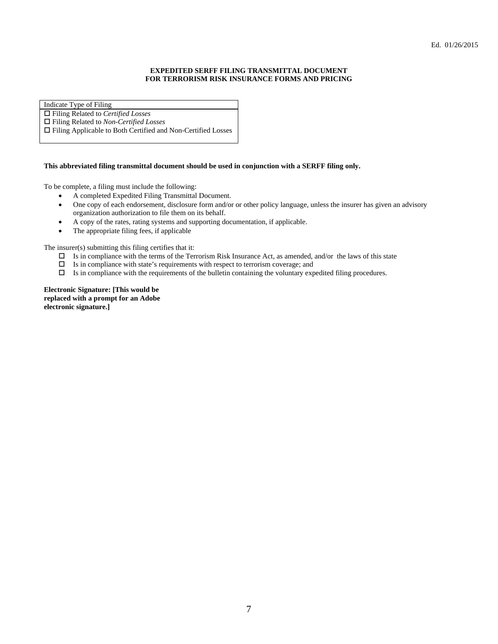#### **EXPEDITED SERFF FILING TRANSMITTAL DOCUMENT FOR TERRORISM RISK INSURANCE FORMS AND PRICING**

Indicate Type of Filing

Filing Related to *Certified Losses*

Filing Related to *Non-Certified Losses* 

Filing Applicable to Both Certified and Non-Certified Losses

#### **This abbreviated filing transmittal document should be used in conjunction with a SERFF filing only.**

To be complete, a filing must include the following:

- A completed Expedited Filing Transmittal Document.
- One copy of each endorsement, disclosure form and/or or other policy language, unless the insurer has given an advisory organization authorization to file them on its behalf.
- A copy of the rates, rating systems and supporting documentation, if applicable.
- The appropriate filing fees, if applicable

The insurer(s) submitting this filing certifies that it:

- $\Box$  Is in compliance with the terms of the Terrorism Risk Insurance Act, as amended, and/or the laws of this state
- $\Box$  Is in compliance with state's requirements with respect to terrorism coverage; and
- $\Box$  Is in compliance with the requirements of the bulletin containing the voluntary expedited filing procedures.

**Electronic Signature: [This would be replaced with a prompt for an Adobe electronic signature.]**